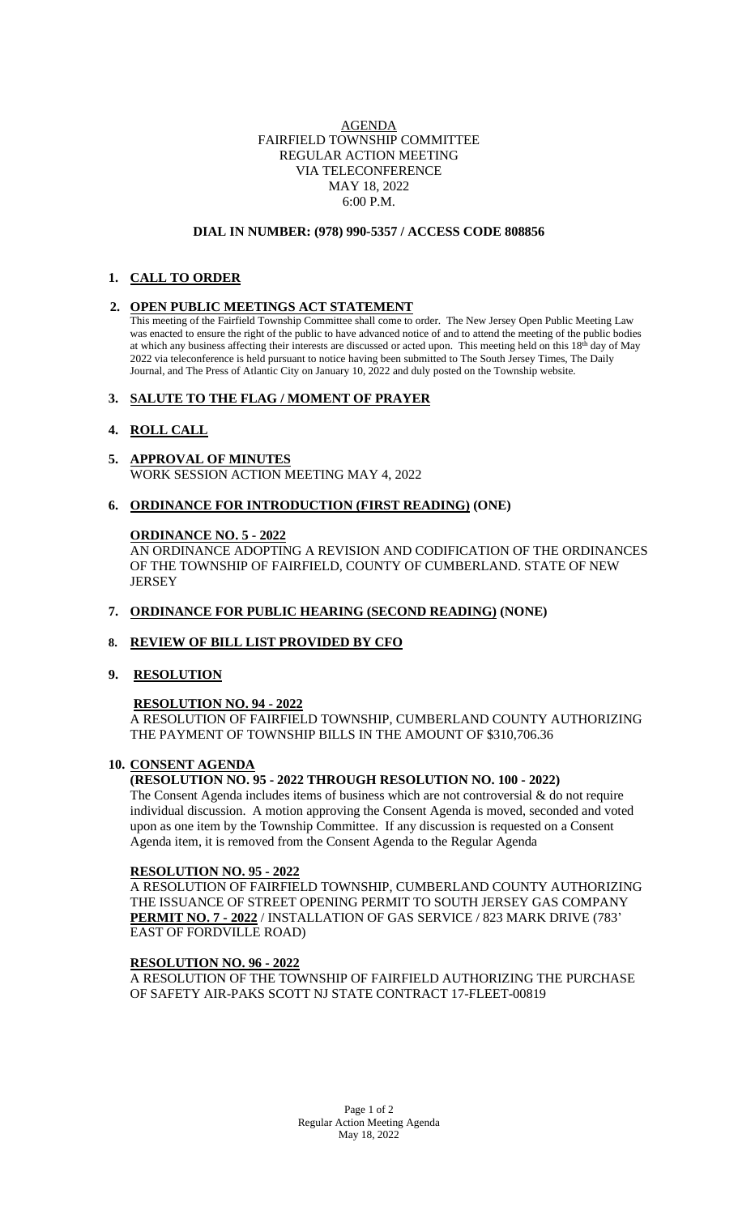## AGENDA FAIRFIELD TOWNSHIP COMMITTEE REGULAR ACTION MEETING VIA TELECONFERENCE MAY 18, 2022 6:00 P.M.

#### **DIAL IN NUMBER: (978) 990-5357 / ACCESS CODE 808856**

# **1. CALL TO ORDER**

## **2. OPEN PUBLIC MEETINGS ACT STATEMENT**

This meeting of the Fairfield Township Committee shall come to order. The New Jersey Open Public Meeting Law was enacted to ensure the right of the public to have advanced notice of and to attend the meeting of the public bodies at which any business affecting their interests are discussed or acted upon. This meeting held on this  $18<sup>th</sup>$  day of May 2022 via teleconference is held pursuant to notice having been submitted to The South Jersey Times, The Daily Journal, and The Press of Atlantic City on January 10, 2022 and duly posted on the Township website.

# **3. SALUTE TO THE FLAG / MOMENT OF PRAYER**

# **4. ROLL CALL**

- **5. APPROVAL OF MINUTES** WORK SESSION ACTION MEETING MAY 4, 2022
- **6. ORDINANCE FOR INTRODUCTION (FIRST READING) (ONE)**

## **ORDINANCE NO. 5 - 2022**

AN ORDINANCE ADOPTING A REVISION AND CODIFICATION OF THE ORDINANCES OF THE TOWNSHIP OF FAIRFIELD, COUNTY OF CUMBERLAND. STATE OF NEW **JERSEY** 

## **7. ORDINANCE FOR PUBLIC HEARING (SECOND READING) (NONE)**

## **8. REVIEW OF BILL LIST PROVIDED BY CFO**

## **9. RESOLUTION**

# **RESOLUTION NO. 94 - 2022**

A RESOLUTION OF FAIRFIELD TOWNSHIP, CUMBERLAND COUNTY AUTHORIZING THE PAYMENT OF TOWNSHIP BILLS IN THE AMOUNT OF \$310,706.36

## **10. CONSENT AGENDA**

# **(RESOLUTION NO. 95 - 2022 THROUGH RESOLUTION NO. 100 - 2022)**

The Consent Agenda includes items of business which are not controversial  $\&$  do not require individual discussion. A motion approving the Consent Agenda is moved, seconded and voted upon as one item by the Township Committee. If any discussion is requested on a Consent Agenda item, it is removed from the Consent Agenda to the Regular Agenda

## **RESOLUTION NO. 95 - 2022**

A RESOLUTION OF FAIRFIELD TOWNSHIP, CUMBERLAND COUNTY AUTHORIZING THE ISSUANCE OF STREET OPENING PERMIT TO SOUTH JERSEY GAS COMPANY **PERMIT NO. 7 - 2022** / INSTALLATION OF GAS SERVICE / 823 MARK DRIVE (783' EAST OF FORDVILLE ROAD)

## **RESOLUTION NO. 96 - 2022**

A RESOLUTION OF THE TOWNSHIP OF FAIRFIELD AUTHORIZING THE PURCHASE OF SAFETY AIR-PAKS SCOTT NJ STATE CONTRACT 17-FLEET-00819